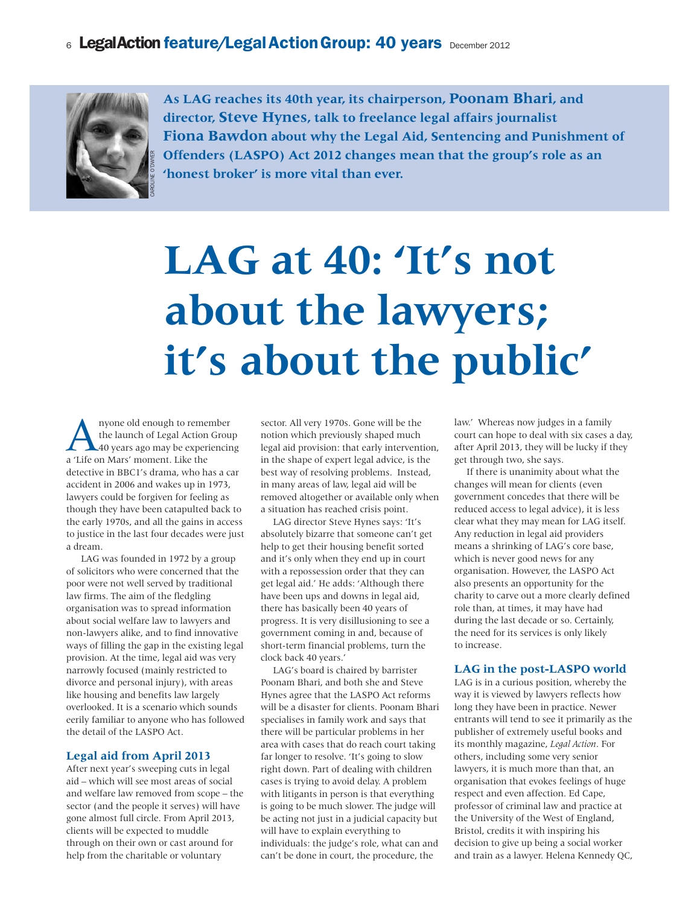## 6 LegalAction feature/Legal Action Group: 40 years December 2012



**As LAG reaches its 40th year, its chairperson, Poonam Bhari, and director, Steve Hynes, talk to freelance legal affairs journalist Fiona Bawdon about why the Legal Aid, Sentencing and Punishment of Offenders (LASPO) Act 2012 changes mean that the group's role as an 'honest broker' is more vital than ever.**

# **LAG at 40: 'It's not about the lawyers; it's about the public'**

A nyone old enough to remember<br>the launch of Legal Action Grou<br>40 years ago may be experiencing<br>a Tite on Mars' moment. Like the the launch of Legal Action Group 40 years ago may be experiencing a 'Life on Mars' moment. Like the detective in BBC1's drama, who has a car accident in 2006 and wakes up in 1973, lawyers could be forgiven for feeling as though they have been catapulted back to the early 1970s, and all the gains in access to justice in the last four decades were just a dream.

LAG was founded in 1972 by a group of solicitors who were concerned that the poor were not well served by traditional law firms. The aim of the fledgling organisation was to spread information about social welfare law to lawyers and non-lawyers alike, and to find innovative ways of filling the gap in the existing legal provision. At the time, legal aid was very narrowly focused (mainly restricted to divorce and personal injury), with areas like housing and benefits law largely overlooked. It is a scenario which sounds eerily familiar to anyone who has followed the detail of the LASPO Act.

#### **Legal aid from April 2013**

After next year's sweeping cuts in legal aid – which will see most areas of social and welfare law removed from scope – the sector (and the people it serves) will have gone almost full circle. From April 2013, clients will be expected to muddle through on their own or cast around for help from the charitable or voluntary

sector. All very 1970s. Gone will be the notion which previously shaped much legal aid provision: that early intervention, in the shape of expert legal advice, is the best way of resolving problems. Instead, in many areas of law, legal aid will be removed altogether or available only when a situation has reached crisis point.

LAG director Steve Hynes says: 'It's absolutely bizarre that someone can't get help to get their housing benefit sorted and it's only when they end up in court with a repossession order that they can get legal aid.' He adds: 'Although there have been ups and downs in legal aid, there has basically been 40 years of progress. It is very disillusioning to see a government coming in and, because of short-term financial problems, turn the clock back 40 years.'

LAG's board is chaired by barrister Poonam Bhari, and both she and Steve Hynes agree that the LASPO Act reforms will be a disaster for clients. Poonam Bhari specialises in family work and says that there will be particular problems in her area with cases that do reach court taking far longer to resolve. 'It's going to slow right down. Part of dealing with children cases is trying to avoid delay. A problem with litigants in person is that everything is going to be much slower. The judge will be acting not just in a judicial capacity but will have to explain everything to individuals: the judge's role, what can and can't be done in court, the procedure, the

law.' Whereas now judges in a family court can hope to deal with six cases a day, after April 2013, they will be lucky if they get through two, she says.

If there is unanimity about what the changes will mean for clients (even government concedes that there will be reduced access to legal advice), it is less clear what they may mean for LAG itself. Any reduction in legal aid providers means a shrinking of LAG's core base, which is never good news for any organisation. However, the LASPO Act also presents an opportunity for the charity to carve out a more clearly defined role than, at times, it may have had during the last decade or so. Certainly, the need for its services is only likely to increase.

### **LAG in the post-LASPO world**

LAG is in a curious position, whereby the way it is viewed by lawyers reflects how long they have been in practice. Newer entrants will tend to see it primarily as the publisher of extremely useful books and its monthly magazine, *Legal Action*. For others, including some very senior lawyers, it is much more than that, an organisation that evokes feelings of huge respect and even affection. Ed Cape, professor of criminal law and practice at the University of the West of England, Bristol, credits it with inspiring his decision to give up being a social worker and train as a lawyer. Helena Kennedy QC,